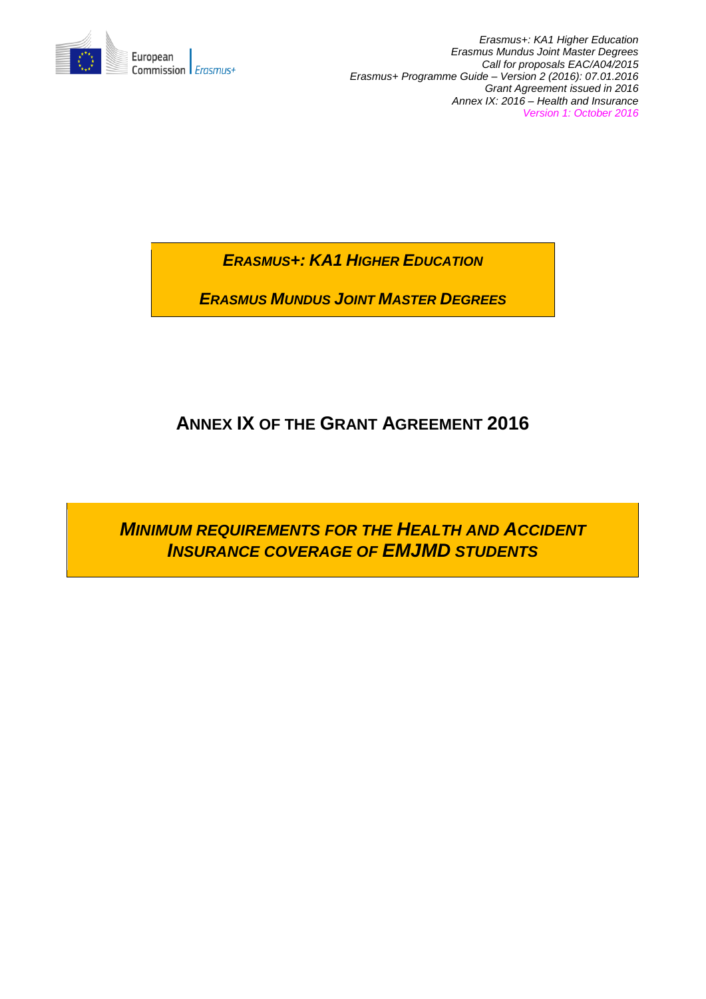

*Erasmus+: KA1 Higher Education Erasmus Mundus Joint Master Degrees Call for proposals EAC/A04/2015 Erasmus+ Programme Guide – Version 2 (2016): 07.01.2016 Grant Agreement issued in 2016 Annex IX: 2016 – Health and Insurance Version 1: October 2016*

*ERASMUS+: KA1 HIGHER EDUCATION*

*ERASMUS MUNDUS JOINT MASTER DEGREES*

# **ANNEX IX OF THE GRANT AGREEMENT 2016**

*MINIMUM REQUIREMENTS FOR THE HEALTH AND ACCIDENT INSURANCE COVERAGE OF EMJMD STUDENTS*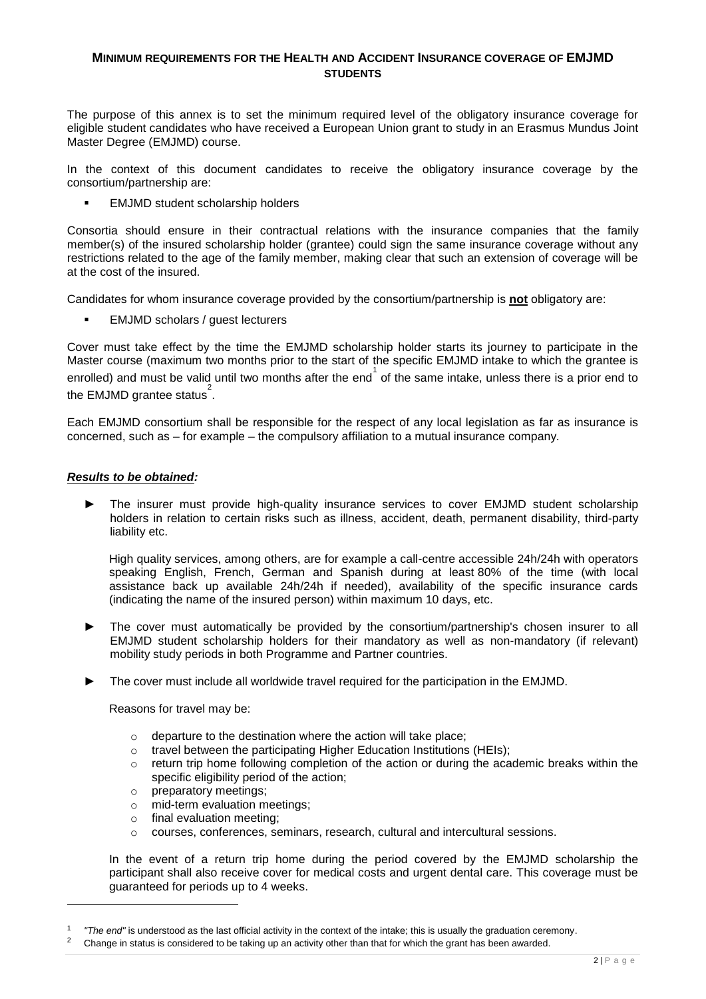## **MINIMUM REQUIREMENTS FOR THE HEALTH AND ACCIDENT INSURANCE COVERAGE OF EMJMD STUDENTS**

The purpose of this annex is to set the minimum required level of the obligatory insurance coverage for eligible student candidates who have received a European Union grant to study in an Erasmus Mundus Joint Master Degree (EMJMD) course.

In the context of this document candidates to receive the obligatory insurance coverage by the consortium/partnership are:

EMJMD student scholarship holders

Consortia should ensure in their contractual relations with the insurance companies that the family member(s) of the insured scholarship holder (grantee) could sign the same insurance coverage without any restrictions related to the age of the family member, making clear that such an extension of coverage will be at the cost of the insured.

Candidates for whom insurance coverage provided by the consortium/partnership is **not** obligatory are:

**EMJMD** scholars / quest lecturers

Cover must take effect by the time the EMJMD scholarship holder starts its journey to participate in the Master course (maximum two months prior to the start of the specific EMJMD intake to which the grantee is enrolled) and must be valid until two months after the end of the same intake, unless there is a prior end to the EMJMD grantee status<sup>2</sup>.

Each EMJMD consortium shall be responsible for the respect of any local legislation as far as insurance is concerned, such as – for example – the compulsory affiliation to a mutual insurance company.

#### *Results to be obtained:*

1

► The insurer must provide high-quality insurance services to cover EMJMD student scholarship holders in relation to certain risks such as illness, accident, death, permanent disability, third-party liability etc.

High quality services, among others, are for example a call-centre accessible 24h/24h with operators speaking English, French, German and Spanish during at least 80% of the time (with local assistance back up available 24h/24h if needed), availability of the specific insurance cards (indicating the name of the insured person) within maximum 10 days, etc.

- The cover must automatically be provided by the consortium/partnership's chosen insurer to all EMJMD student scholarship holders for their mandatory as well as non-mandatory (if relevant) mobility study periods in both Programme and Partner countries.
- The cover must include all worldwide travel required for the participation in the EMJMD.

Reasons for travel may be:

- $\circ$  departure to the destination where the action will take place:
- o travel between the participating Higher Education Institutions (HEIs);
- $\circ$  return trip home following completion of the action or during the academic breaks within the specific eligibility period of the action;
- o preparatory meetings;
- o mid-term evaluation meetings;
- o final evaluation meeting;
- o courses, conferences, seminars, research, cultural and intercultural sessions.

In the event of a return trip home during the period covered by the EMJMD scholarship the participant shall also receive cover for medical costs and urgent dental care. This coverage must be guaranteed for periods up to 4 weeks.

<sup>1</sup> *"The end"* is understood as the last official activity in the context of the intake; this is usually the graduation ceremony.

<sup>2</sup> Change in status is considered to be taking up an activity other than that for which the grant has been awarded.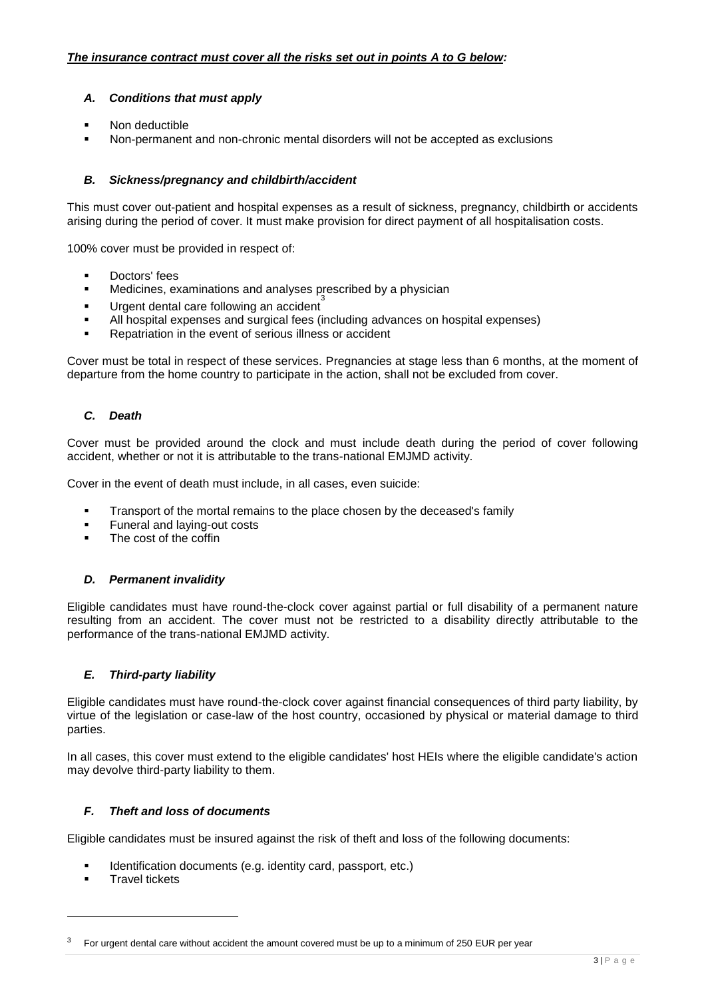## *A. Conditions that must apply*

- Non deductible
- Non-permanent and non-chronic mental disorders will not be accepted as exclusions

#### *B. Sickness/pregnancy and childbirth/accident*

This must cover out-patient and hospital expenses as a result of sickness, pregnancy, childbirth or accidents arising during the period of cover. It must make provision for direct payment of all hospitalisation costs.

100% cover must be provided in respect of:

- **Doctors' fees**
- Medicines, examinations and analyses prescribed by a physician
- Urgent dental care following an accident
- All hospital expenses and surgical fees (including advances on hospital expenses)
- Repatriation in the event of serious illness or accident

Cover must be total in respect of these services. Pregnancies at stage less than 6 months, at the moment of departure from the home country to participate in the action, shall not be excluded from cover.

## *C. Death*

Cover must be provided around the clock and must include death during the period of cover following accident, whether or not it is attributable to the trans-national EMJMD activity.

Cover in the event of death must include, in all cases, even suicide:

- **Transport of the mortal remains to the place chosen by the deceased's family**
- Funeral and laying-out costs
- The cost of the coffin

## *D. Permanent invalidity*

Eligible candidates must have round-the-clock cover against partial or full disability of a permanent nature resulting from an accident. The cover must not be restricted to a disability directly attributable to the performance of the trans-national EMJMD activity.

## *E. Third-party liability*

Eligible candidates must have round-the-clock cover against financial consequences of third party liability, by virtue of the legislation or case-law of the host country, occasioned by physical or material damage to third parties.

In all cases, this cover must extend to the eligible candidates' host HEIs where the eligible candidate's action may devolve third-party liability to them.

#### *F. Theft and loss of documents*

Eligible candidates must be insured against the risk of theft and loss of the following documents:

- Identification documents (e.g. identity card, passport, etc.)
- Travel tickets

-

<sup>3</sup> For urgent dental care without accident the amount covered must be up to a minimum of 250 EUR per year